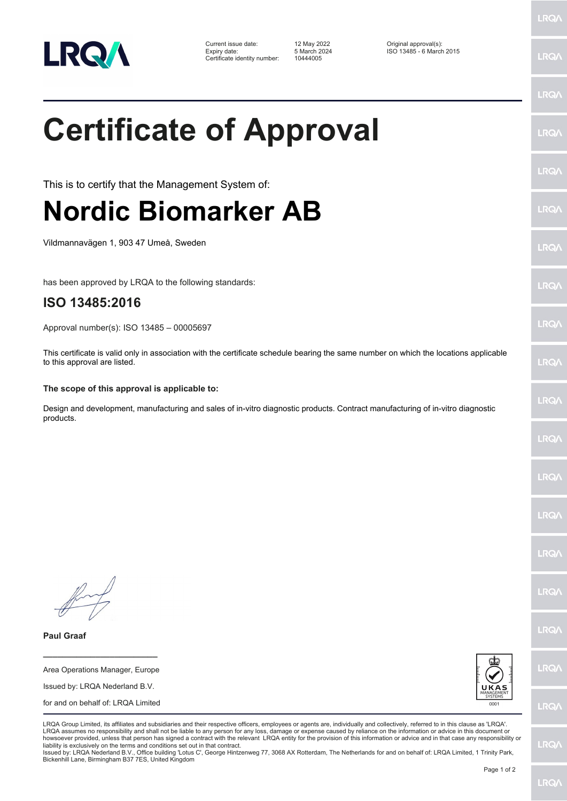

Current issue date: 12 May 2022 Original approval(s): Expiry date: 5 March 2024 ISO 13485 - 6 March 2015 Certificate identity number: 10444005

## **Certificate of Approval**

This is to certify that the Management System of:

## **Nordic Biomarker AB**

Vildmannavägen 1, 903 47 Umeå, Sweden

has been approved by LRQA to the following standards:

## **ISO 13485:2016**

**Paul Graaf**

**\_\_\_\_\_\_\_\_\_\_\_\_\_\_\_\_\_\_\_\_\_\_\_\_** Area Operations Manager, Europe Issued by: LRQA Nederland B.V. for and on behalf of: LRQA Limited

Approval number(s): ISO 13485 – 00005697

This certificate is valid only in association with the certificate schedule bearing the same number on which the locations applicable to this approval are listed.

## **The scope of this approval is applicable to:**

Design and development, manufacturing and sales of in-vitro diagnostic products. Contract manufacturing of in-vitro diagnostic products.

LRQ/

LRQ/

**LRQ/** 

LRQ/

LRQ/

LRQ/

LRQ/

LRQ/

LRQ/

LRQA Group Limited, its affiliates and subsidiaries and their respective officers, employees or agents are, individually and collectively, referred to in this clause as 'LRQA'. LRQA assumes no responsibility and shall not be liable to any person for any loss, damage or expense caused by reliance on the information or advice in this document or howsoever provided, unless that person has signed a contract with the relevant LRQA entity for the provision of this information or advice and in that case any responsibility or liability is exclusively on the terms and conditions set out in that contract.

Issued by: LRQA Nederland B.V., Office building 'Lotus C', George Hintzenweg 77, 3068 AX Rotterdam, The Netherlands for and on behalf of: LRQA Limited, 1 Trinity Park, Bickenhill Lane, Birmingham B37 7ES, United Kingdom

LRQ/

LRQ/

LRQ/

LRQ/

LRQ/

LRQ/

LRQ/

LRQ/

LRQ/

LRQ/

LRQ/